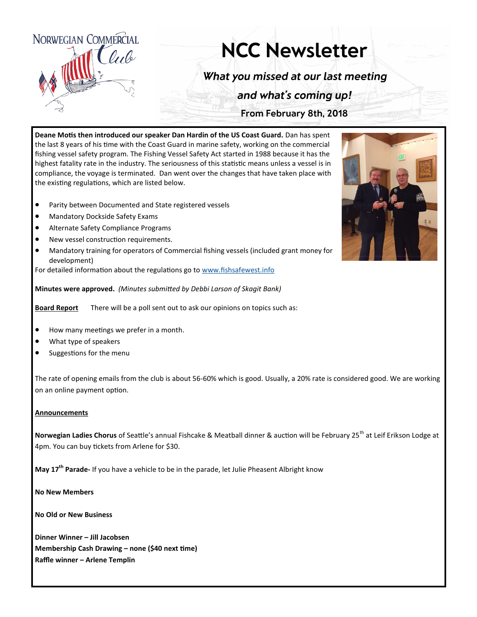

## **NCC Newsletter**

What you missed at our last meeting

and what's coming up!

From February 8th, 2018

**Deane Motis then introduced our speaker Dan Hardin of the US Coast Guard.** Dan has spent the last 8 years of his time with the Coast Guard in marine safety, working on the commercial fishing vessel safety program. The Fishing Vessel Safety Act started in 1988 because it has the highest fatality rate in the industry. The seriousness of this statistic means unless a vessel is in compliance, the voyage is terminated. Dan went over the changes that have taken place with the existing regulations, which are listed below.

- Parity between Documented and State registered vessels
- Mandatory Dockside Safety Exams
- Alternate Safety Compliance Programs
- New vessel construction requirements.
- Mandatory training for operators of Commercial fishing vessels (included grant money for development)

For detailed information about the regulations go to [www.fishsafewest.info](http://www.fishsafewest.info)

**Minutes were approved.** *(Minutes submitted by Debbi Larson of Skagit Bank)*

**Board Report** There will be a poll sent out to ask our opinions on topics such as:

- How many meetings we prefer in a month.
- What type of speakers
- Suggestions for the menu

The rate of opening emails from the club is about 56-60% which is good. Usually, a 20% rate is considered good. We are working on an online payment option.

## **Announcements**

Norwegian Ladies Chorus of Seattle's annual Fishcake & Meatball dinner & auction will be February 25<sup>th</sup> at Leif Erikson Lodge at 4pm. You can buy tickets from Arlene for \$30.

**May 17th Parade-** If you have a vehicle to be in the parade, let Julie Pheasent Albright know

**No New Members**

**No Old or New Business**

**Dinner Winner – Jill Jacobsen Membership Cash Drawing – none (\$40 next time) Raffle winner – Arlene Templin**